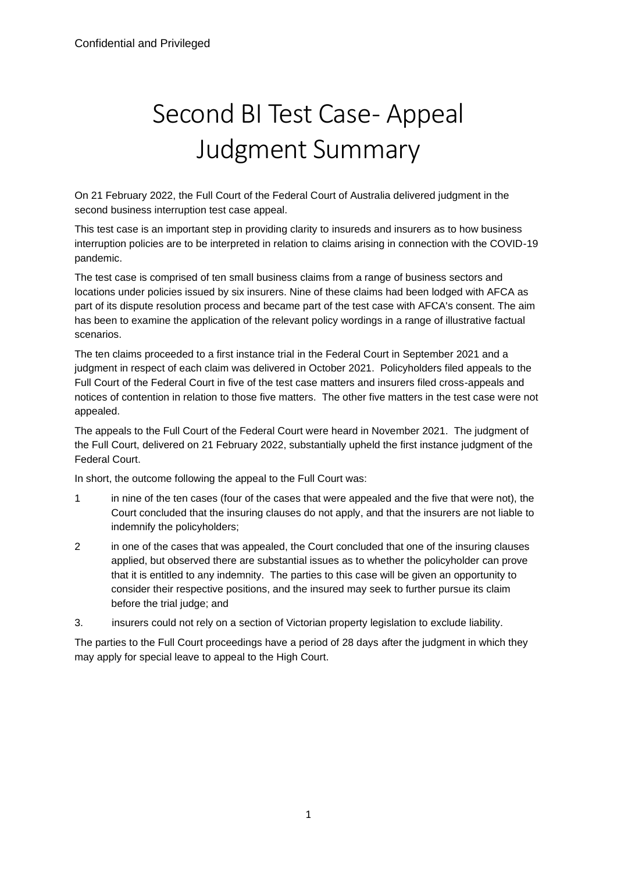# Second BI Test Case- Appeal Judgment Summary

On 21 February 2022, the Full Court of the Federal Court of Australia delivered judgment in the second business interruption test case appeal.

This test case is an important step in providing clarity to insureds and insurers as to how business interruption policies are to be interpreted in relation to claims arising in connection with the COVID-19 pandemic.

The test case is comprised of ten small business claims from a range of business sectors and locations under policies issued by six insurers. Nine of these claims had been lodged with AFCA as part of its dispute resolution process and became part of the test case with AFCA's consent. The aim has been to examine the application of the relevant policy wordings in a range of illustrative factual scenarios.

The ten claims proceeded to a first instance trial in the Federal Court in September 2021 and a judgment in respect of each claim was delivered in October 2021. Policyholders filed appeals to the Full Court of the Federal Court in five of the test case matters and insurers filed cross-appeals and notices of contention in relation to those five matters. The other five matters in the test case were not appealed.

The appeals to the Full Court of the Federal Court were heard in November 2021. The judgment of the Full Court, delivered on 21 February 2022, substantially upheld the first instance judgment of the Federal Court.

In short, the outcome following the appeal to the Full Court was:

- 1 in nine of the ten cases (four of the cases that were appealed and the five that were not), the Court concluded that the insuring clauses do not apply, and that the insurers are not liable to indemnify the policyholders;
- 2 in one of the cases that was appealed, the Court concluded that one of the insuring clauses applied, but observed there are substantial issues as to whether the policyholder can prove that it is entitled to any indemnity. The parties to this case will be given an opportunity to consider their respective positions, and the insured may seek to further pursue its claim before the trial judge; and
- 3. insurers could not rely on a section of Victorian property legislation to exclude liability.

The parties to the Full Court proceedings have a period of 28 days after the judgment in which they may apply for special leave to appeal to the High Court.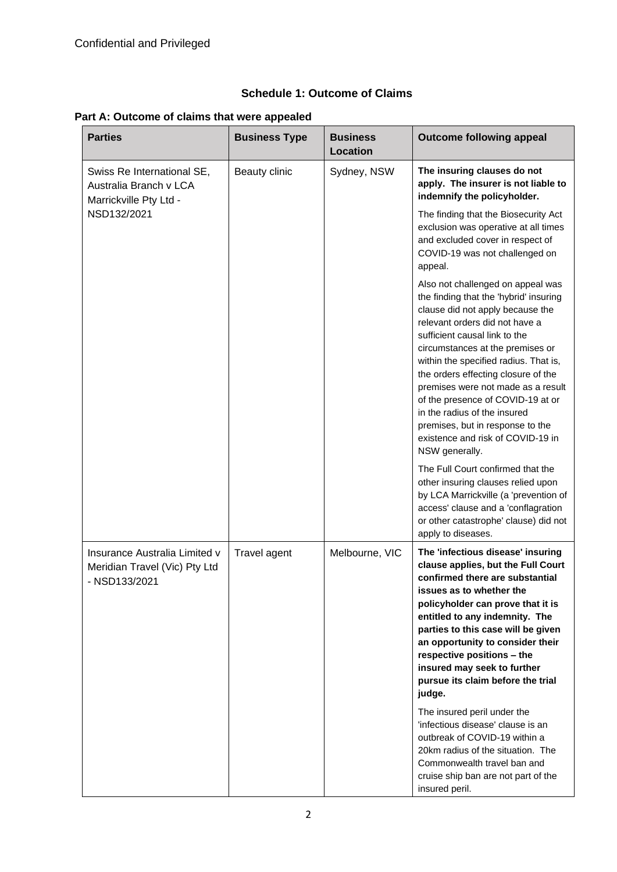**Part A: Outcome of claims that were appealed**

| <b>Parties</b>                                                                  | <b>Business Type</b> | <b>Business</b><br><b>Location</b> | <b>Outcome following appeal</b>                                                                                                                                                                                                                                                                                                                                                                                                                                                                              |
|---------------------------------------------------------------------------------|----------------------|------------------------------------|--------------------------------------------------------------------------------------------------------------------------------------------------------------------------------------------------------------------------------------------------------------------------------------------------------------------------------------------------------------------------------------------------------------------------------------------------------------------------------------------------------------|
| Swiss Re International SE,<br>Australia Branch v LCA<br>Marrickville Pty Ltd -  | Beauty clinic        | Sydney, NSW                        | The insuring clauses do not<br>apply. The insurer is not liable to<br>indemnify the policyholder.                                                                                                                                                                                                                                                                                                                                                                                                            |
| NSD132/2021                                                                     |                      |                                    | The finding that the Biosecurity Act<br>exclusion was operative at all times<br>and excluded cover in respect of<br>COVID-19 was not challenged on<br>appeal.                                                                                                                                                                                                                                                                                                                                                |
|                                                                                 |                      |                                    | Also not challenged on appeal was<br>the finding that the 'hybrid' insuring<br>clause did not apply because the<br>relevant orders did not have a<br>sufficient causal link to the<br>circumstances at the premises or<br>within the specified radius. That is,<br>the orders effecting closure of the<br>premises were not made as a result<br>of the presence of COVID-19 at or<br>in the radius of the insured<br>premises, but in response to the<br>existence and risk of COVID-19 in<br>NSW generally. |
|                                                                                 |                      |                                    | The Full Court confirmed that the<br>other insuring clauses relied upon<br>by LCA Marrickville (a 'prevention of<br>access' clause and a 'conflagration<br>or other catastrophe' clause) did not<br>apply to diseases.                                                                                                                                                                                                                                                                                       |
| Insurance Australia Limited v<br>Meridian Travel (Vic) Pty Ltd<br>- NSD133/2021 | Travel agent         | Melbourne, VIC                     | The 'infectious disease' insuring<br>clause applies, but the Full Court<br>confirmed there are substantial<br>issues as to whether the<br>policyholder can prove that it is<br>entitled to any indemnity. The<br>parties to this case will be given<br>an opportunity to consider their<br>respective positions - the<br>insured may seek to further<br>pursue its claim before the trial<br>judge.                                                                                                          |
|                                                                                 |                      |                                    | The insured peril under the<br>'infectious disease' clause is an<br>outbreak of COVID-19 within a<br>20km radius of the situation. The<br>Commonwealth travel ban and<br>cruise ship ban are not part of the<br>insured peril.                                                                                                                                                                                                                                                                               |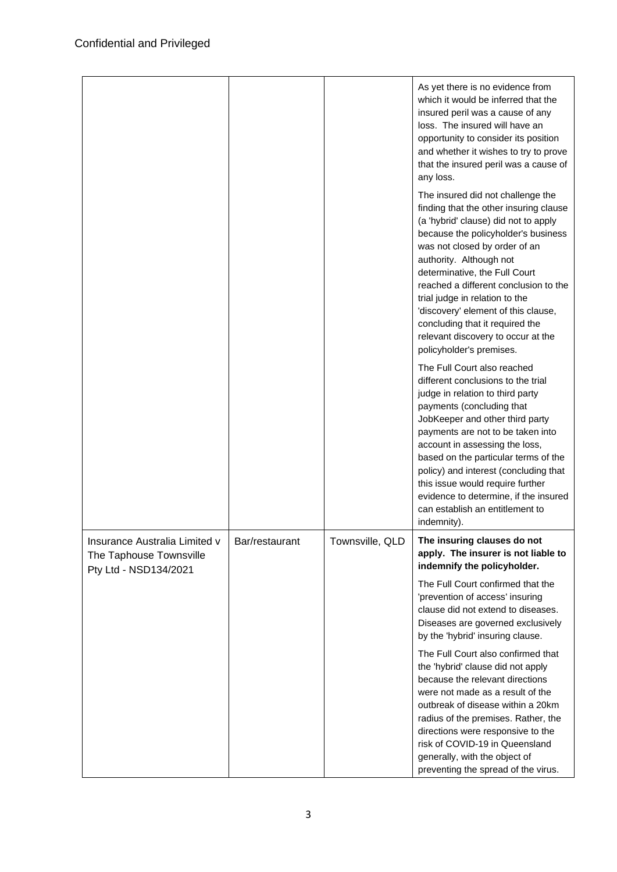|                                                                                   |                |                 | As yet there is no evidence from<br>which it would be inferred that the<br>insured peril was a cause of any<br>loss. The insured will have an<br>opportunity to consider its position<br>and whether it wishes to try to prove<br>that the insured peril was a cause of<br>any loss.<br>The insured did not challenge the<br>finding that the other insuring clause<br>(a 'hybrid' clause) did not to apply<br>because the policyholder's business<br>was not closed by order of an<br>authority. Although not<br>determinative, the Full Court<br>reached a different conclusion to the<br>trial judge in relation to the<br>'discovery' element of this clause,<br>concluding that it required the<br>relevant discovery to occur at the<br>policyholder's premises.<br>The Full Court also reached<br>different conclusions to the trial<br>judge in relation to third party<br>payments (concluding that<br>JobKeeper and other third party<br>payments are not to be taken into<br>account in assessing the loss,<br>based on the particular terms of the<br>policy) and interest (concluding that<br>this issue would require further<br>evidence to determine, if the insured<br>can establish an entitlement to<br>indemnity). |
|-----------------------------------------------------------------------------------|----------------|-----------------|----------------------------------------------------------------------------------------------------------------------------------------------------------------------------------------------------------------------------------------------------------------------------------------------------------------------------------------------------------------------------------------------------------------------------------------------------------------------------------------------------------------------------------------------------------------------------------------------------------------------------------------------------------------------------------------------------------------------------------------------------------------------------------------------------------------------------------------------------------------------------------------------------------------------------------------------------------------------------------------------------------------------------------------------------------------------------------------------------------------------------------------------------------------------------------------------------------------------------------------|
| Insurance Australia Limited v<br>The Taphouse Townsville<br>Pty Ltd - NSD134/2021 | Bar/restaurant | Townsville, QLD | The insuring clauses do not<br>apply. The insurer is not liable to<br>indemnify the policyholder.                                                                                                                                                                                                                                                                                                                                                                                                                                                                                                                                                                                                                                                                                                                                                                                                                                                                                                                                                                                                                                                                                                                                      |
|                                                                                   |                |                 | The Full Court confirmed that the<br>'prevention of access' insuring<br>clause did not extend to diseases.<br>Diseases are governed exclusively<br>by the 'hybrid' insuring clause.                                                                                                                                                                                                                                                                                                                                                                                                                                                                                                                                                                                                                                                                                                                                                                                                                                                                                                                                                                                                                                                    |
|                                                                                   |                |                 | The Full Court also confirmed that<br>the 'hybrid' clause did not apply<br>because the relevant directions<br>were not made as a result of the<br>outbreak of disease within a 20km<br>radius of the premises. Rather, the<br>directions were responsive to the<br>risk of COVID-19 in Queensland<br>generally, with the object of<br>preventing the spread of the virus.                                                                                                                                                                                                                                                                                                                                                                                                                                                                                                                                                                                                                                                                                                                                                                                                                                                              |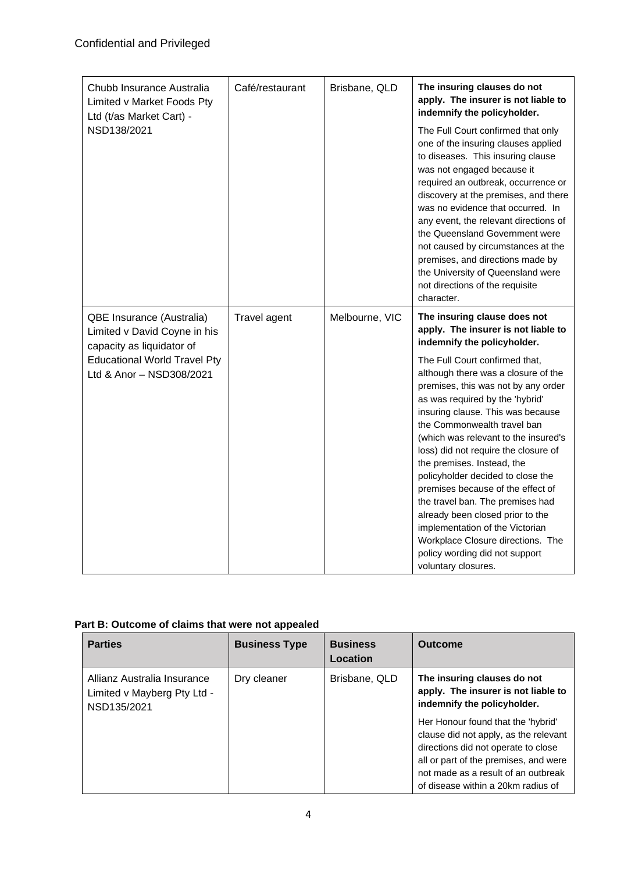| Chubb Insurance Australia<br>Limited v Market Foods Pty<br>Ltd (t/as Market Cart) -    | Café/restaurant | Brisbane, QLD  | The insuring clauses do not<br>apply. The insurer is not liable to<br>indemnify the policyholder.                                                                                                                                                                                                                                                                                                                                                                                                                                                                                                                    |
|----------------------------------------------------------------------------------------|-----------------|----------------|----------------------------------------------------------------------------------------------------------------------------------------------------------------------------------------------------------------------------------------------------------------------------------------------------------------------------------------------------------------------------------------------------------------------------------------------------------------------------------------------------------------------------------------------------------------------------------------------------------------------|
| NSD138/2021                                                                            |                 |                | The Full Court confirmed that only<br>one of the insuring clauses applied<br>to diseases. This insuring clause<br>was not engaged because it<br>required an outbreak, occurrence or<br>discovery at the premises, and there<br>was no evidence that occurred. In<br>any event, the relevant directions of<br>the Queensland Government were<br>not caused by circumstances at the<br>premises, and directions made by<br>the University of Queensland were<br>not directions of the requisite<br>character.                                                                                                          |
| QBE Insurance (Australia)<br>Limited v David Coyne in his<br>capacity as liquidator of | Travel agent    | Melbourne, VIC | The insuring clause does not<br>apply. The insurer is not liable to<br>indemnify the policyholder.                                                                                                                                                                                                                                                                                                                                                                                                                                                                                                                   |
| <b>Educational World Travel Pty</b><br>Ltd & Anor - NSD308/2021                        |                 |                | The Full Court confirmed that,<br>although there was a closure of the<br>premises, this was not by any order<br>as was required by the 'hybrid'<br>insuring clause. This was because<br>the Commonwealth travel ban<br>(which was relevant to the insured's<br>loss) did not require the closure of<br>the premises. Instead, the<br>policyholder decided to close the<br>premises because of the effect of<br>the travel ban. The premises had<br>already been closed prior to the<br>implementation of the Victorian<br>Workplace Closure directions. The<br>policy wording did not support<br>voluntary closures. |

| Part B: Outcome of claims that were not appealed |
|--------------------------------------------------|
|--------------------------------------------------|

| <b>Parties</b>                                                            | <b>Business Type</b> | <b>Business</b><br>Location | <b>Outcome</b>                                                                                                                                                                                                                           |
|---------------------------------------------------------------------------|----------------------|-----------------------------|------------------------------------------------------------------------------------------------------------------------------------------------------------------------------------------------------------------------------------------|
| Allianz Australia Insurance<br>Limited v Mayberg Pty Ltd -<br>NSD135/2021 | Dry cleaner          | Brisbane, QLD               | The insuring clauses do not<br>apply. The insurer is not liable to<br>indemnify the policyholder.                                                                                                                                        |
|                                                                           |                      |                             | Her Honour found that the 'hybrid'<br>clause did not apply, as the relevant<br>directions did not operate to close<br>all or part of the premises, and were<br>not made as a result of an outbreak<br>of disease within a 20km radius of |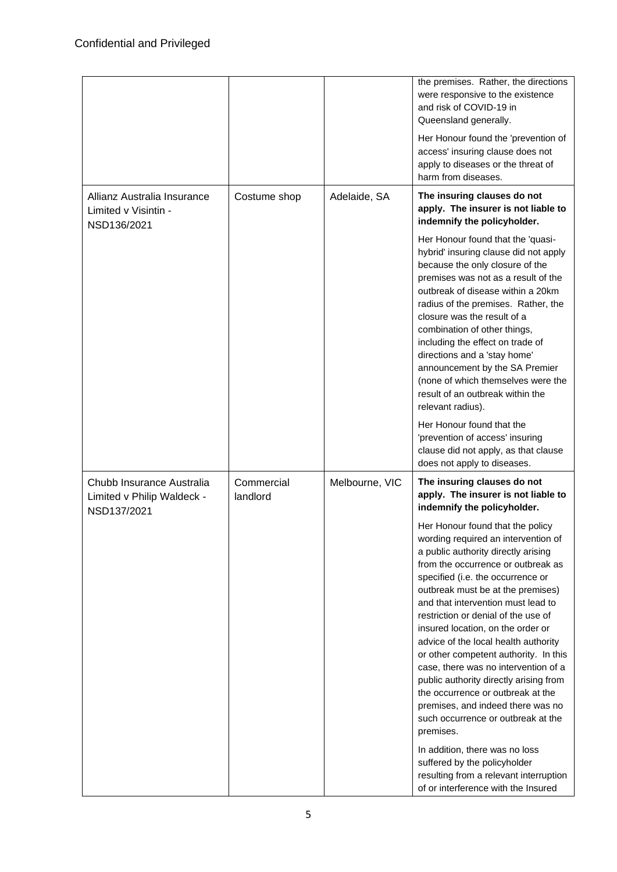|                                                                        |                        |                | the premises. Rather, the directions<br>were responsive to the existence<br>and risk of COVID-19 in<br>Queensland generally.<br>Her Honour found the 'prevention of                                                                                                                                                                                                                                                                                                                                                                                                                                                                              |
|------------------------------------------------------------------------|------------------------|----------------|--------------------------------------------------------------------------------------------------------------------------------------------------------------------------------------------------------------------------------------------------------------------------------------------------------------------------------------------------------------------------------------------------------------------------------------------------------------------------------------------------------------------------------------------------------------------------------------------------------------------------------------------------|
|                                                                        |                        |                | access' insuring clause does not<br>apply to diseases or the threat of<br>harm from diseases.                                                                                                                                                                                                                                                                                                                                                                                                                                                                                                                                                    |
| Allianz Australia Insurance<br>Limited v Visintin -<br>NSD136/2021     | Costume shop           | Adelaide, SA   | The insuring clauses do not<br>apply. The insurer is not liable to<br>indemnify the policyholder.                                                                                                                                                                                                                                                                                                                                                                                                                                                                                                                                                |
|                                                                        |                        |                | Her Honour found that the 'quasi-<br>hybrid' insuring clause did not apply<br>because the only closure of the<br>premises was not as a result of the<br>outbreak of disease within a 20km<br>radius of the premises. Rather, the<br>closure was the result of a<br>combination of other things,<br>including the effect on trade of<br>directions and a 'stay home'<br>announcement by the SA Premier<br>(none of which themselves were the<br>result of an outbreak within the<br>relevant radius).                                                                                                                                             |
|                                                                        |                        |                | Her Honour found that the<br>'prevention of access' insuring<br>clause did not apply, as that clause<br>does not apply to diseases.                                                                                                                                                                                                                                                                                                                                                                                                                                                                                                              |
| Chubb Insurance Australia<br>Limited v Philip Waldeck -<br>NSD137/2021 | Commercial<br>landlord | Melbourne, VIC | The insuring clauses do not<br>apply. The insurer is not liable to<br>indemnify the policyholder.                                                                                                                                                                                                                                                                                                                                                                                                                                                                                                                                                |
|                                                                        |                        |                | Her Honour found that the policy<br>wording required an intervention of<br>a public authority directly arising<br>from the occurrence or outbreak as<br>specified (i.e. the occurrence or<br>outbreak must be at the premises)<br>and that intervention must lead to<br>restriction or denial of the use of<br>insured location, on the order or<br>advice of the local health authority<br>or other competent authority. In this<br>case, there was no intervention of a<br>public authority directly arising from<br>the occurrence or outbreak at the<br>premises, and indeed there was no<br>such occurrence or outbreak at the<br>premises. |
|                                                                        |                        |                | In addition, there was no loss<br>suffered by the policyholder<br>resulting from a relevant interruption<br>of or interference with the Insured                                                                                                                                                                                                                                                                                                                                                                                                                                                                                                  |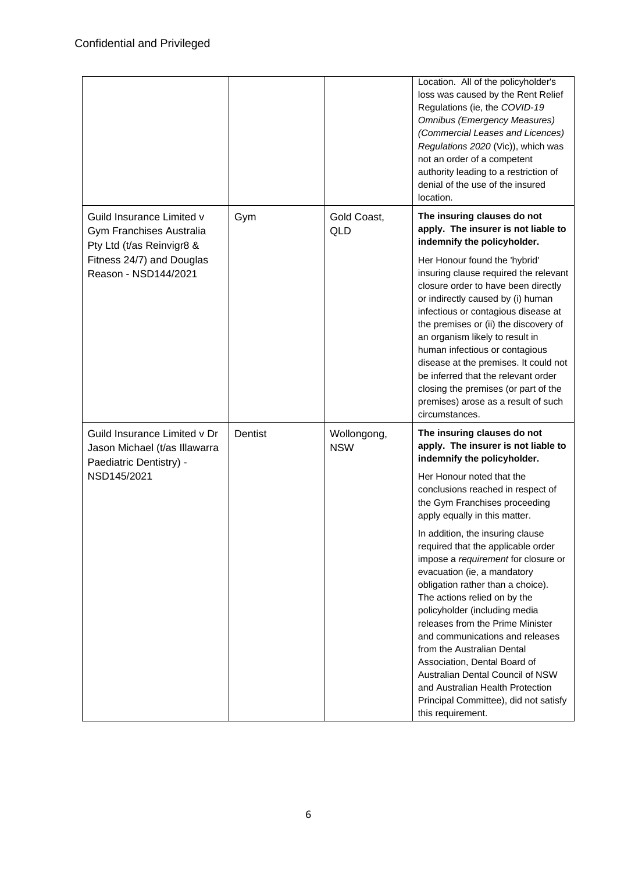|                                                                                          |         |                           | Location. All of the policyholder's<br>loss was caused by the Rent Relief<br>Regulations (ie, the COVID-19<br><b>Omnibus (Emergency Measures)</b><br>(Commercial Leases and Licences)<br>Regulations 2020 (Vic)), which was<br>not an order of a competent<br>authority leading to a restriction of<br>denial of the use of the insured<br>location.                                                                                                                                                                          |
|------------------------------------------------------------------------------------------|---------|---------------------------|-------------------------------------------------------------------------------------------------------------------------------------------------------------------------------------------------------------------------------------------------------------------------------------------------------------------------------------------------------------------------------------------------------------------------------------------------------------------------------------------------------------------------------|
| Guild Insurance Limited v<br>Gym Franchises Australia<br>Pty Ltd (t/as Reinvigr8 &       | Gym     | Gold Coast,<br><b>QLD</b> | The insuring clauses do not<br>apply. The insurer is not liable to<br>indemnify the policyholder.                                                                                                                                                                                                                                                                                                                                                                                                                             |
| Fitness 24/7) and Douglas<br>Reason - NSD144/2021                                        |         |                           | Her Honour found the 'hybrid'<br>insuring clause required the relevant<br>closure order to have been directly<br>or indirectly caused by (i) human<br>infectious or contagious disease at<br>the premises or (ii) the discovery of<br>an organism likely to result in<br>human infectious or contagious<br>disease at the premises. It could not<br>be inferred that the relevant order<br>closing the premises (or part of the<br>premises) arose as a result of such<br>circumstances.                                      |
| Guild Insurance Limited v Dr<br>Jason Michael (t/as Illawarra<br>Paediatric Dentistry) - | Dentist | Wollongong,<br><b>NSW</b> | The insuring clauses do not<br>apply. The insurer is not liable to<br>indemnify the policyholder.                                                                                                                                                                                                                                                                                                                                                                                                                             |
| NSD145/2021                                                                              |         |                           | Her Honour noted that the<br>conclusions reached in respect of<br>the Gym Franchises proceeding<br>apply equally in this matter.                                                                                                                                                                                                                                                                                                                                                                                              |
|                                                                                          |         |                           | In addition, the insuring clause<br>required that the applicable order<br>impose a requirement for closure or<br>evacuation (ie, a mandatory<br>obligation rather than a choice).<br>The actions relied on by the<br>policyholder (including media<br>releases from the Prime Minister<br>and communications and releases<br>from the Australian Dental<br>Association, Dental Board of<br>Australian Dental Council of NSW<br>and Australian Health Protection<br>Principal Committee), did not satisfy<br>this requirement. |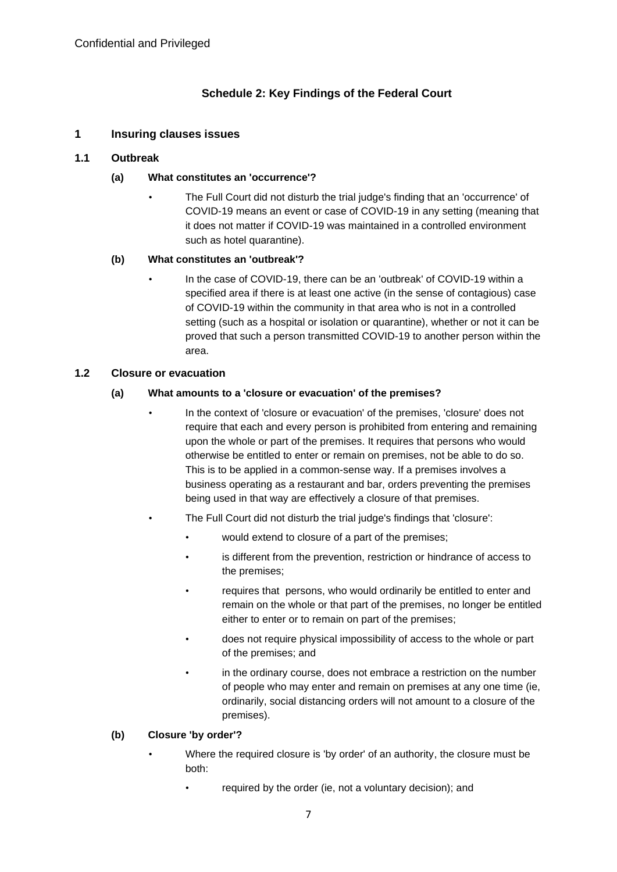# **Schedule 2: Key Findings of the Federal Court**

# **1 Insuring clauses issues**

## **1.1 Outbreak**

## **(a) What constitutes an 'occurrence'?**

• The Full Court did not disturb the trial judge's finding that an 'occurrence' of COVID-19 means an event or case of COVID-19 in any setting (meaning that it does not matter if COVID-19 was maintained in a controlled environment such as hotel quarantine).

## **(b) What constitutes an 'outbreak'?**

• In the case of COVID-19, there can be an 'outbreak' of COVID-19 within a specified area if there is at least one active (in the sense of contagious) case of COVID-19 within the community in that area who is not in a controlled setting (such as a hospital or isolation or quarantine), whether or not it can be proved that such a person transmitted COVID-19 to another person within the area.

## **1.2 Closure or evacuation**

## **(a) What amounts to a 'closure or evacuation' of the premises?**

- In the context of 'closure or evacuation' of the premises, 'closure' does not require that each and every person is prohibited from entering and remaining upon the whole or part of the premises. It requires that persons who would otherwise be entitled to enter or remain on premises, not be able to do so. This is to be applied in a common-sense way. If a premises involves a business operating as a restaurant and bar, orders preventing the premises being used in that way are effectively a closure of that premises.
- The Full Court did not disturb the trial judge's findings that 'closure':
	- would extend to closure of a part of the premises;
	- is different from the prevention, restriction or hindrance of access to the premises;
	- requires that persons, who would ordinarily be entitled to enter and remain on the whole or that part of the premises, no longer be entitled either to enter or to remain on part of the premises;
	- does not require physical impossibility of access to the whole or part of the premises; and
	- in the ordinary course, does not embrace a restriction on the number of people who may enter and remain on premises at any one time (ie, ordinarily, social distancing orders will not amount to a closure of the premises).

#### **(b) Closure 'by order'?**

- Where the required closure is 'by order' of an authority, the closure must be both:
	- required by the order (ie, not a voluntary decision); and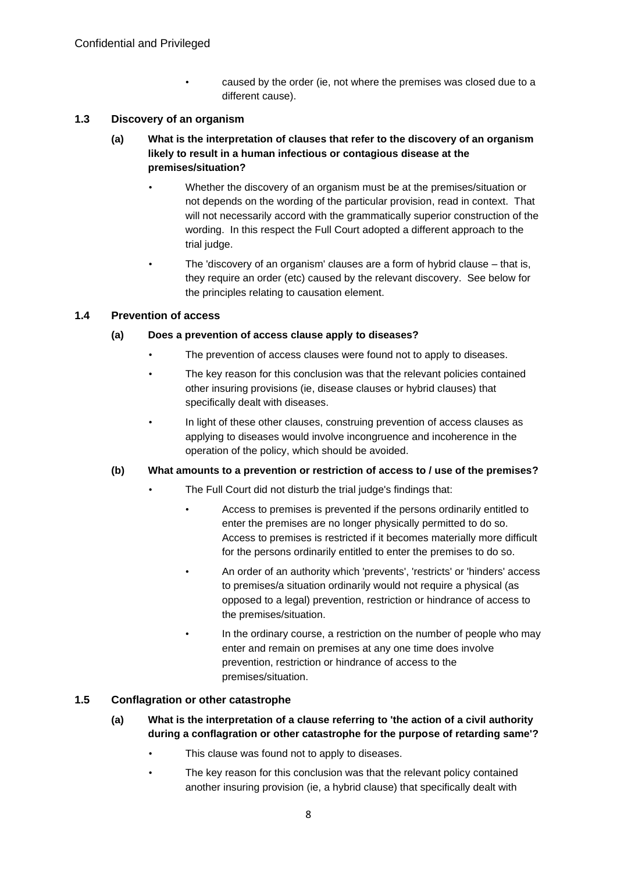• caused by the order (ie, not where the premises was closed due to a different cause).

## **1.3 Discovery of an organism**

- **(a) What is the interpretation of clauses that refer to the discovery of an organism likely to result in a human infectious or contagious disease at the premises/situation?**
	- Whether the discovery of an organism must be at the premises/situation or not depends on the wording of the particular provision, read in context. That will not necessarily accord with the grammatically superior construction of the wording. In this respect the Full Court adopted a different approach to the trial judge.
	- The 'discovery of an organism' clauses are a form of hybrid clause that is, they require an order (etc) caused by the relevant discovery. See below for the principles relating to causation element.

#### **1.4 Prevention of access**

## **(a) Does a prevention of access clause apply to diseases?**

- The prevention of access clauses were found not to apply to diseases.
- The key reason for this conclusion was that the relevant policies contained other insuring provisions (ie, disease clauses or hybrid clauses) that specifically dealt with diseases.
- In light of these other clauses, construing prevention of access clauses as applying to diseases would involve incongruence and incoherence in the operation of the policy, which should be avoided.

#### **(b) What amounts to a prevention or restriction of access to / use of the premises?**

- The Full Court did not disturb the trial judge's findings that:
	- Access to premises is prevented if the persons ordinarily entitled to enter the premises are no longer physically permitted to do so. Access to premises is restricted if it becomes materially more difficult for the persons ordinarily entitled to enter the premises to do so.
	- An order of an authority which 'prevents', 'restricts' or 'hinders' access to premises/a situation ordinarily would not require a physical (as opposed to a legal) prevention, restriction or hindrance of access to the premises/situation.
		- In the ordinary course, a restriction on the number of people who may enter and remain on premises at any one time does involve prevention, restriction or hindrance of access to the premises/situation.

#### **1.5 Conflagration or other catastrophe**

- **(a) What is the interpretation of a clause referring to 'the action of a civil authority during a conflagration or other catastrophe for the purpose of retarding same'?**
	- This clause was found not to apply to diseases.
	- The key reason for this conclusion was that the relevant policy contained another insuring provision (ie, a hybrid clause) that specifically dealt with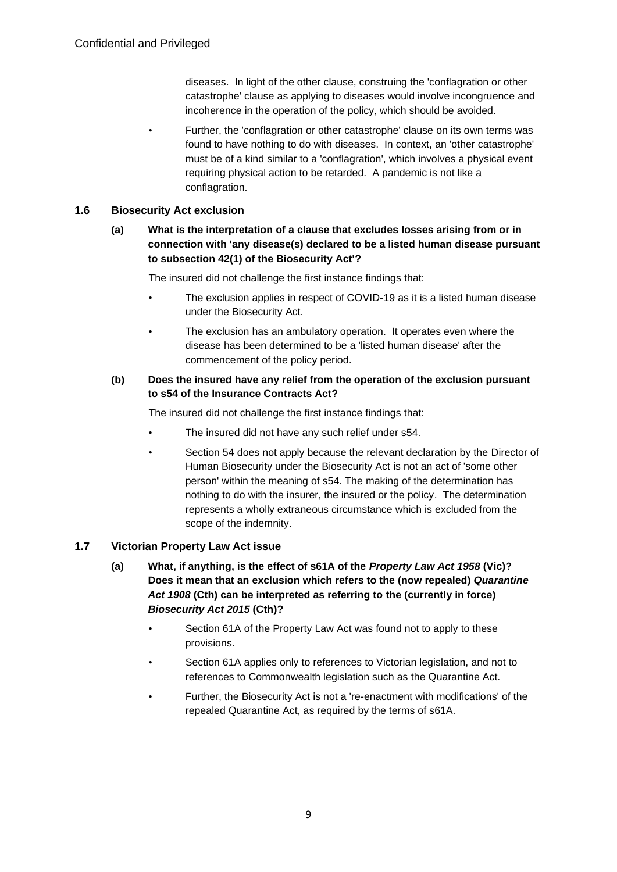diseases. In light of the other clause, construing the 'conflagration or other catastrophe' clause as applying to diseases would involve incongruence and incoherence in the operation of the policy, which should be avoided.

• Further, the 'conflagration or other catastrophe' clause on its own terms was found to have nothing to do with diseases. In context, an 'other catastrophe' must be of a kind similar to a 'conflagration', which involves a physical event requiring physical action to be retarded. A pandemic is not like a conflagration.

# **1.6 Biosecurity Act exclusion**

**(a) What is the interpretation of a clause that excludes losses arising from or in connection with 'any disease(s) declared to be a listed human disease pursuant to subsection 42(1) of the Biosecurity Act'?**

The insured did not challenge the first instance findings that:

- The exclusion applies in respect of COVID-19 as it is a listed human disease under the Biosecurity Act.
- The exclusion has an ambulatory operation. It operates even where the disease has been determined to be a 'listed human disease' after the commencement of the policy period.
- **(b) Does the insured have any relief from the operation of the exclusion pursuant to s54 of the Insurance Contracts Act?**

The insured did not challenge the first instance findings that:

- The insured did not have any such relief under s54.
- Section 54 does not apply because the relevant declaration by the Director of Human Biosecurity under the Biosecurity Act is not an act of 'some other person' within the meaning of s54. The making of the determination has nothing to do with the insurer, the insured or the policy. The determination represents a wholly extraneous circumstance which is excluded from the scope of the indemnity.

# **1.7 Victorian Property Law Act issue**

- **(a) What, if anything, is the effect of s61A of the** *Property Law Act 1958* **(Vic)? Does it mean that an exclusion which refers to the (now repealed)** *Quarantine Act 1908* **(Cth) can be interpreted as referring to the (currently in force)**  *Biosecurity Act 2015* **(Cth)?**
	- Section 61A of the Property Law Act was found not to apply to these provisions.
	- Section 61A applies only to references to Victorian legislation, and not to references to Commonwealth legislation such as the Quarantine Act.
	- Further, the Biosecurity Act is not a 're-enactment with modifications' of the repealed Quarantine Act, as required by the terms of s61A.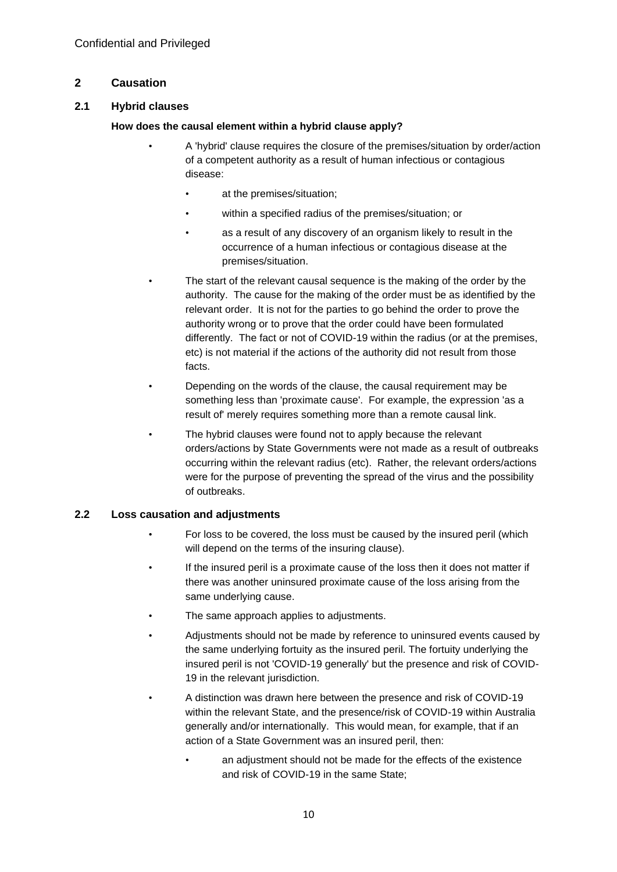# **2 Causation**

# **2.1 Hybrid clauses**

# **How does the causal element within a hybrid clause apply?**

- A 'hybrid' clause requires the closure of the premises/situation by order/action of a competent authority as a result of human infectious or contagious disease:
	- at the premises/situation;
	- within a specified radius of the premises/situation; or
	- as a result of any discovery of an organism likely to result in the occurrence of a human infectious or contagious disease at the premises/situation.
- The start of the relevant causal sequence is the making of the order by the authority. The cause for the making of the order must be as identified by the relevant order. It is not for the parties to go behind the order to prove the authority wrong or to prove that the order could have been formulated differently. The fact or not of COVID-19 within the radius (or at the premises, etc) is not material if the actions of the authority did not result from those facts.
- Depending on the words of the clause, the causal requirement may be something less than 'proximate cause'. For example, the expression 'as a result of' merely requires something more than a remote causal link.
- The hybrid clauses were found not to apply because the relevant orders/actions by State Governments were not made as a result of outbreaks occurring within the relevant radius (etc). Rather, the relevant orders/actions were for the purpose of preventing the spread of the virus and the possibility of outbreaks.

# **2.2 Loss causation and adjustments**

- For loss to be covered, the loss must be caused by the insured peril (which will depend on the terms of the insuring clause).
- If the insured peril is a proximate cause of the loss then it does not matter if there was another uninsured proximate cause of the loss arising from the same underlying cause.
- The same approach applies to adjustments.
- Adjustments should not be made by reference to uninsured events caused by the same underlying fortuity as the insured peril. The fortuity underlying the insured peril is not 'COVID-19 generally' but the presence and risk of COVID-19 in the relevant jurisdiction.
- A distinction was drawn here between the presence and risk of COVID-19 within the relevant State, and the presence/risk of COVID-19 within Australia generally and/or internationally. This would mean, for example, that if an action of a State Government was an insured peril, then:
	- an adjustment should not be made for the effects of the existence and risk of COVID-19 in the same State;